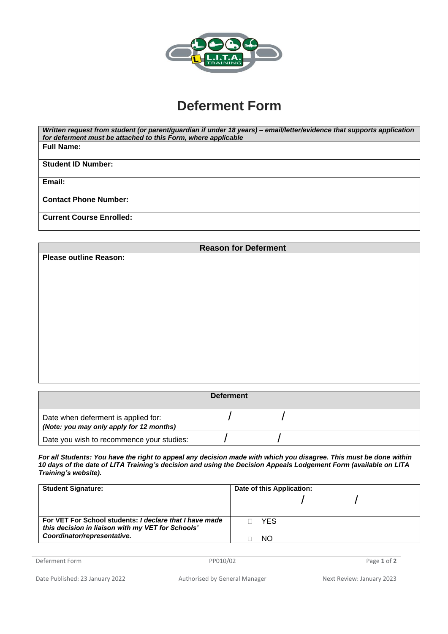

## **Deferment Form**

| Written request from student (or parent/guardian if under 18 years) – email/letter/evidence that supports application |
|-----------------------------------------------------------------------------------------------------------------------|
| for deferment must be attached to this Form, where applicable                                                         |
| <b>Full Name:</b>                                                                                                     |
|                                                                                                                       |
| <b>Student ID Number:</b>                                                                                             |
|                                                                                                                       |
| Email:                                                                                                                |
|                                                                                                                       |
| <b>Contact Phone Number:</b>                                                                                          |
|                                                                                                                       |
| <b>Current Course Enrolled:</b>                                                                                       |
|                                                                                                                       |
|                                                                                                                       |

| <b>Reason for Deferment</b>   |  |  |  |  |  |  |
|-------------------------------|--|--|--|--|--|--|
| <b>Please outline Reason:</b> |  |  |  |  |  |  |
|                               |  |  |  |  |  |  |
|                               |  |  |  |  |  |  |
|                               |  |  |  |  |  |  |
|                               |  |  |  |  |  |  |
|                               |  |  |  |  |  |  |
|                               |  |  |  |  |  |  |
|                               |  |  |  |  |  |  |
|                               |  |  |  |  |  |  |
|                               |  |  |  |  |  |  |
|                               |  |  |  |  |  |  |
|                               |  |  |  |  |  |  |
|                               |  |  |  |  |  |  |
|                               |  |  |  |  |  |  |
|                               |  |  |  |  |  |  |

|                                                                                 | <b>Deferment</b> |  |
|---------------------------------------------------------------------------------|------------------|--|
| Date when deferment is applied for:<br>(Note: you may only apply for 12 months) |                  |  |
| Date you wish to recommence your studies:                                       |                  |  |

*For all Students: You have the right to appeal any decision made with which you disagree. This must be done within 10 days of the date of LITA Training's decision and using the Decision Appeals Lodgement Form (available on LITA Training's website).*

| <b>Student Signature:</b>                                                                                    | Date of this Application: |  |  |
|--------------------------------------------------------------------------------------------------------------|---------------------------|--|--|
|                                                                                                              |                           |  |  |
| For VET For School students: I declare that I have made<br>this decision in liaison with my VET for Schools' | <b>YFS</b>                |  |  |
| Coordinator/representative.                                                                                  | NO.                       |  |  |

Deferment Form PP010/02 Page **1** of **2**